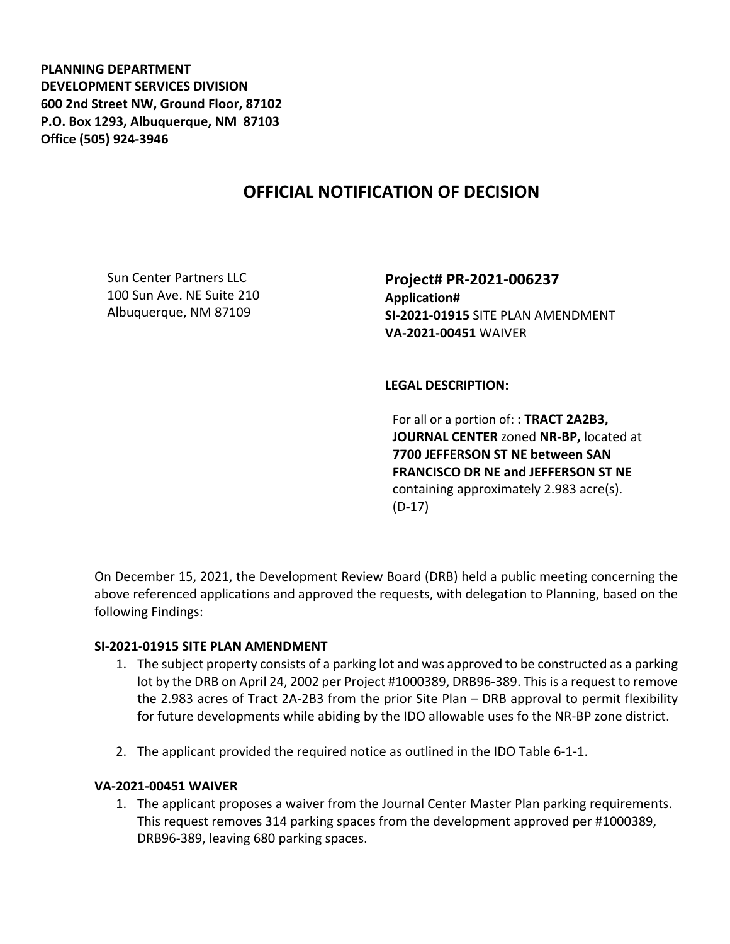**PLANNING DEPARTMENT DEVELOPMENT SERVICES DIVISION 600 2nd Street NW, Ground Floor, 87102 P.O. Box 1293, Albuquerque, NM 87103 Office (505) 924-3946** 

## **OFFICIAL NOTIFICATION OF DECISION**

Sun Center Partners LLC 100 Sun Ave. NE Suite 210 Albuquerque, NM 87109

**Project# PR-2021-006237 Application# SI-2021-01915** SITE PLAN AMENDMENT **VA-2021-00451** WAIVER

**LEGAL DESCRIPTION:**

For all or a portion of: **: TRACT 2A2B3, JOURNAL CENTER** zoned **NR-BP,** located at **7700 JEFFERSON ST NE between SAN FRANCISCO DR NE and JEFFERSON ST NE**  containing approximately 2.983 acre(s). (D-17)

On December 15, 2021, the Development Review Board (DRB) held a public meeting concerning the above referenced applications and approved the requests, with delegation to Planning, based on the following Findings:

## **SI-2021-01915 SITE PLAN AMENDMENT**

- 1. The subject property consists of a parking lot and was approved to be constructed as a parking lot by the DRB on April 24, 2002 per Project #1000389, DRB96-389. This is a request to remove the 2.983 acres of Tract 2A-2B3 from the prior Site Plan – DRB approval to permit flexibility for future developments while abiding by the IDO allowable uses fo the NR-BP zone district.
- 2. The applicant provided the required notice as outlined in the IDO Table 6-1-1.

## **VA-2021-00451 WAIVER**

1. The applicant proposes a waiver from the Journal Center Master Plan parking requirements. This request removes 314 parking spaces from the development approved per #1000389, DRB96-389, leaving 680 parking spaces.